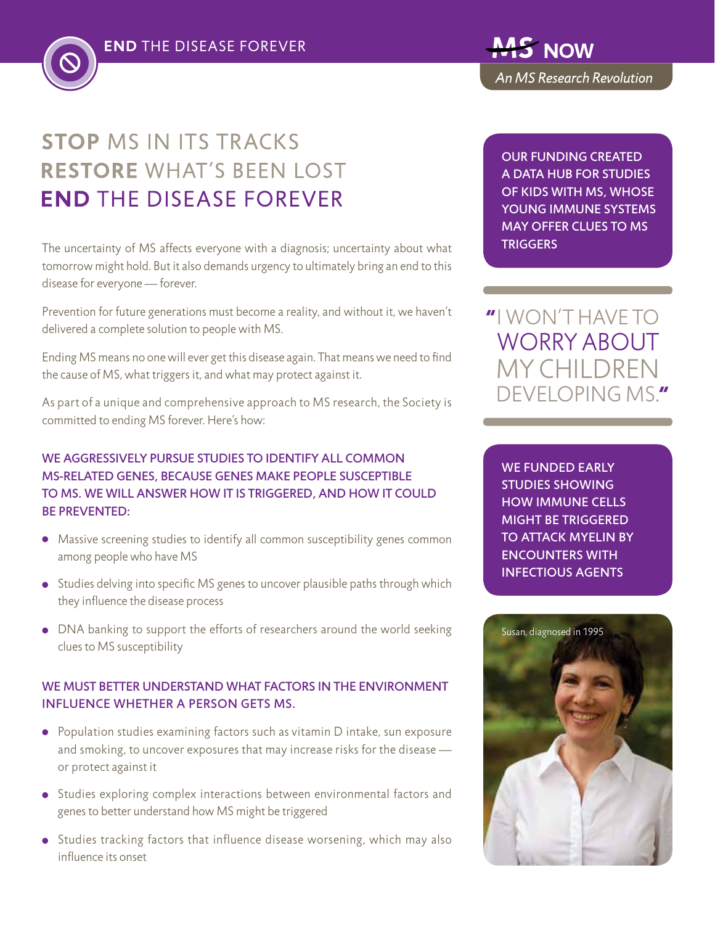

The uncertainty of MS affects everyone with a diagnosis; uncertainty about what tomorrow might hold. But it also demands urgency to ultimately bring an end to this disease for everyone — forever.

Prevention for future generations must become a reality, and without it, we haven't delivered a complete solution to people with MS.

Ending MS means no one will ever get this disease again. That means we need to find the cause of MS, what triggers it, and what may protect against it.

As part of a unique and comprehensive approach to MS research, the Society is committed to ending MS forever. Here's how:

## We aggressively pursue studies to identify all common MS-related genes, because genes make people susceptible to MS. we will answer how it is triggered, and how it could be prevented:

- Massive screening studies to identify all common susceptibility genes common among people who have MS
- Studies delving into specific MS genes to uncover plausible paths through which they influence the disease process
- DNA banking to support the efforts of researchers around the world seeking clues to MS susceptibility

### WE MUST BETTER UNDERSTAND WHAT FACTORS IN THE ENVIRONMENT influence whether a person gets MS.

- Population studies examining factors such as vitamin D intake, sun exposure and smoking, to uncover exposures that may increase risks for the disease or protect against it
- Studies exploring complex interactions between environmental factors and genes to better understand how MS might be triggered
- Studies tracking factors that influence disease worsening, which may also influence its onset

Our funding created a data hub for studies of kids with MS, whose YOUNG immune systems may offer clues to MS **TRIGGERS** 

# i won't have to WORRY ABOUT my children DEVELOPING MS"

We funded early studies showing how immune cells might be triggered to attack myelin by encounters with infectious agents